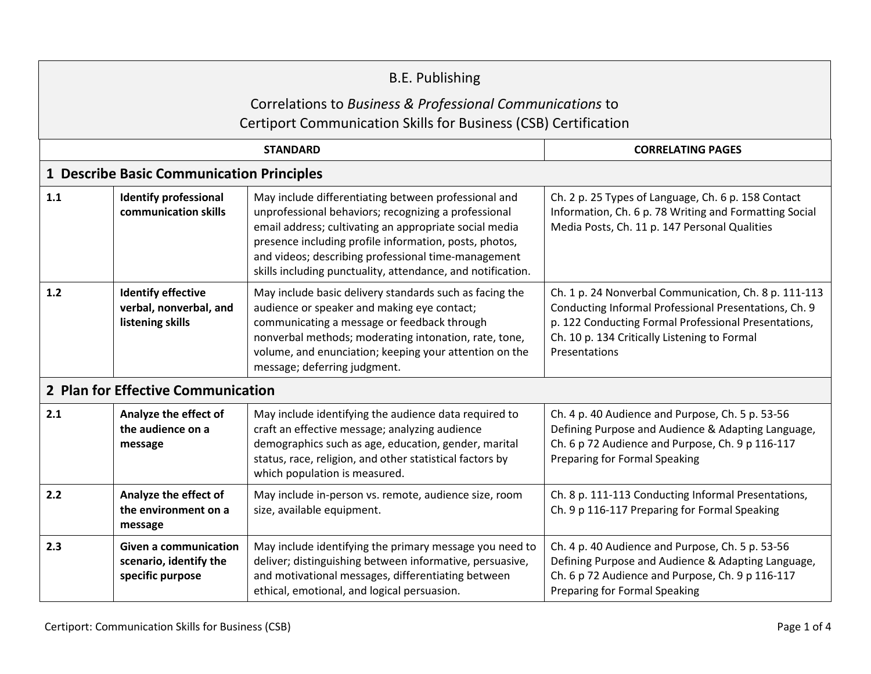| <b>B.E. Publishing</b>                                                                                                              |                                                                            |                                                                                                                                                                                                                                                                                                                                                        |                                                                                                                                                                                                                                         |  |  |  |  |
|-------------------------------------------------------------------------------------------------------------------------------------|----------------------------------------------------------------------------|--------------------------------------------------------------------------------------------------------------------------------------------------------------------------------------------------------------------------------------------------------------------------------------------------------------------------------------------------------|-----------------------------------------------------------------------------------------------------------------------------------------------------------------------------------------------------------------------------------------|--|--|--|--|
| Correlations to Business & Professional Communications to<br><b>Certiport Communication Skills for Business (CSB) Certification</b> |                                                                            |                                                                                                                                                                                                                                                                                                                                                        |                                                                                                                                                                                                                                         |  |  |  |  |
|                                                                                                                                     |                                                                            | <b>CORRELATING PAGES</b>                                                                                                                                                                                                                                                                                                                               |                                                                                                                                                                                                                                         |  |  |  |  |
| 1 Describe Basic Communication Principles                                                                                           |                                                                            |                                                                                                                                                                                                                                                                                                                                                        |                                                                                                                                                                                                                                         |  |  |  |  |
| 1.1                                                                                                                                 | <b>Identify professional</b><br>communication skills                       | May include differentiating between professional and<br>unprofessional behaviors; recognizing a professional<br>email address; cultivating an appropriate social media<br>presence including profile information, posts, photos,<br>and videos; describing professional time-management<br>skills including punctuality, attendance, and notification. | Ch. 2 p. 25 Types of Language, Ch. 6 p. 158 Contact<br>Information, Ch. 6 p. 78 Writing and Formatting Social<br>Media Posts, Ch. 11 p. 147 Personal Qualities                                                                          |  |  |  |  |
| $1.2$                                                                                                                               | <b>Identify effective</b><br>verbal, nonverbal, and<br>listening skills    | May include basic delivery standards such as facing the<br>audience or speaker and making eye contact;<br>communicating a message or feedback through<br>nonverbal methods; moderating intonation, rate, tone,<br>volume, and enunciation; keeping your attention on the<br>message; deferring judgment.                                               | Ch. 1 p. 24 Nonverbal Communication, Ch. 8 p. 111-113<br>Conducting Informal Professional Presentations, Ch. 9<br>p. 122 Conducting Formal Professional Presentations,<br>Ch. 10 p. 134 Critically Listening to Formal<br>Presentations |  |  |  |  |
|                                                                                                                                     | 2 Plan for Effective Communication                                         |                                                                                                                                                                                                                                                                                                                                                        |                                                                                                                                                                                                                                         |  |  |  |  |
| 2.1                                                                                                                                 | Analyze the effect of<br>the audience on a<br>message                      | May include identifying the audience data required to<br>craft an effective message; analyzing audience<br>demographics such as age, education, gender, marital<br>status, race, religion, and other statistical factors by<br>which population is measured.                                                                                           | Ch. 4 p. 40 Audience and Purpose, Ch. 5 p. 53-56<br>Defining Purpose and Audience & Adapting Language,<br>Ch. 6 p 72 Audience and Purpose, Ch. 9 p 116-117<br><b>Preparing for Formal Speaking</b>                                      |  |  |  |  |
| 2.2                                                                                                                                 | Analyze the effect of<br>the environment on a<br>message                   | May include in-person vs. remote, audience size, room<br>size, available equipment.                                                                                                                                                                                                                                                                    | Ch. 8 p. 111-113 Conducting Informal Presentations,<br>Ch. 9 p 116-117 Preparing for Formal Speaking                                                                                                                                    |  |  |  |  |
| 2.3                                                                                                                                 | <b>Given a communication</b><br>scenario, identify the<br>specific purpose | May include identifying the primary message you need to<br>deliver; distinguishing between informative, persuasive,<br>and motivational messages, differentiating between<br>ethical, emotional, and logical persuasion.                                                                                                                               | Ch. 4 p. 40 Audience and Purpose, Ch. 5 p. 53-56<br>Defining Purpose and Audience & Adapting Language,<br>Ch. 6 p 72 Audience and Purpose, Ch. 9 p 116-117<br>Preparing for Formal Speaking                                             |  |  |  |  |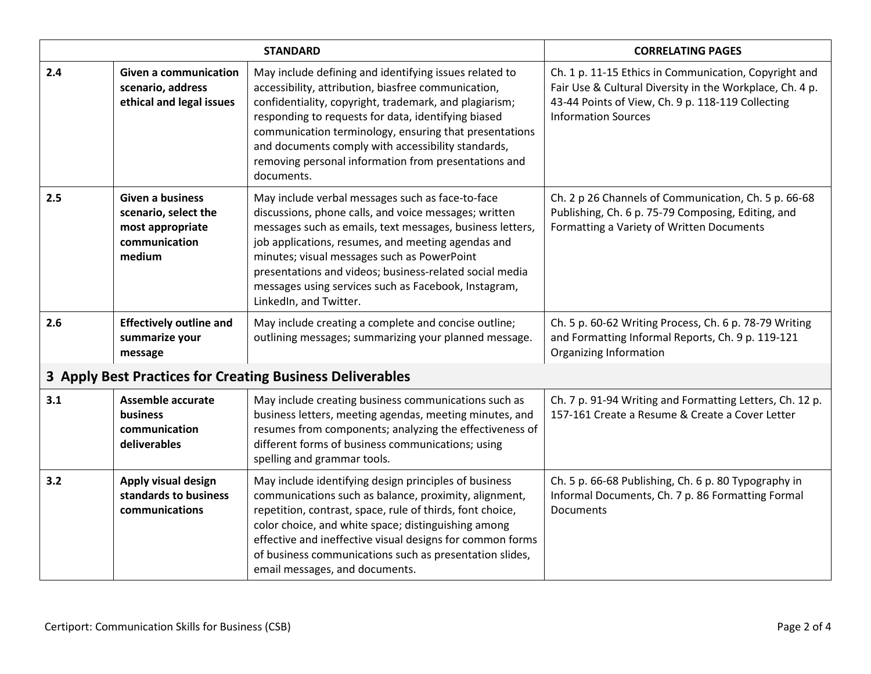| <b>STANDARD</b>                                           |                                                                                                |                                                                                                                                                                                                                                                                                                                                                                                                                          | <b>CORRELATING PAGES</b>                                                                                                                                                                             |  |
|-----------------------------------------------------------|------------------------------------------------------------------------------------------------|--------------------------------------------------------------------------------------------------------------------------------------------------------------------------------------------------------------------------------------------------------------------------------------------------------------------------------------------------------------------------------------------------------------------------|------------------------------------------------------------------------------------------------------------------------------------------------------------------------------------------------------|--|
| 2.4                                                       | <b>Given a communication</b><br>scenario, address<br>ethical and legal issues                  | May include defining and identifying issues related to<br>accessibility, attribution, biasfree communication,<br>confidentiality, copyright, trademark, and plagiarism;<br>responding to requests for data, identifying biased<br>communication terminology, ensuring that presentations<br>and documents comply with accessibility standards,<br>removing personal information from presentations and<br>documents.     | Ch. 1 p. 11-15 Ethics in Communication, Copyright and<br>Fair Use & Cultural Diversity in the Workplace, Ch. 4 p.<br>43-44 Points of View, Ch. 9 p. 118-119 Collecting<br><b>Information Sources</b> |  |
| 2.5                                                       | <b>Given a business</b><br>scenario, select the<br>most appropriate<br>communication<br>medium | May include verbal messages such as face-to-face<br>discussions, phone calls, and voice messages; written<br>messages such as emails, text messages, business letters,<br>job applications, resumes, and meeting agendas and<br>minutes; visual messages such as PowerPoint<br>presentations and videos; business-related social media<br>messages using services such as Facebook, Instagram,<br>LinkedIn, and Twitter. | Ch. 2 p 26 Channels of Communication, Ch. 5 p. 66-68<br>Publishing, Ch. 6 p. 75-79 Composing, Editing, and<br>Formatting a Variety of Written Documents                                              |  |
| 2.6                                                       | <b>Effectively outline and</b><br>summarize your<br>message                                    | May include creating a complete and concise outline;<br>outlining messages; summarizing your planned message.                                                                                                                                                                                                                                                                                                            | Ch. 5 p. 60-62 Writing Process, Ch. 6 p. 78-79 Writing<br>and Formatting Informal Reports, Ch. 9 p. 119-121<br>Organizing Information                                                                |  |
| 3 Apply Best Practices for Creating Business Deliverables |                                                                                                |                                                                                                                                                                                                                                                                                                                                                                                                                          |                                                                                                                                                                                                      |  |
| 3.1                                                       | <b>Assemble accurate</b><br><b>business</b><br>communication<br>deliverables                   | May include creating business communications such as<br>business letters, meeting agendas, meeting minutes, and<br>resumes from components; analyzing the effectiveness of<br>different forms of business communications; using<br>spelling and grammar tools.                                                                                                                                                           | Ch. 7 p. 91-94 Writing and Formatting Letters, Ch. 12 p.<br>157-161 Create a Resume & Create a Cover Letter                                                                                          |  |
| 3.2                                                       | Apply visual design<br>standards to business<br>communications                                 | May include identifying design principles of business<br>communications such as balance, proximity, alignment,<br>repetition, contrast, space, rule of thirds, font choice,<br>color choice, and white space; distinguishing among<br>effective and ineffective visual designs for common forms<br>of business communications such as presentation slides,<br>email messages, and documents.                             | Ch. 5 p. 66-68 Publishing, Ch. 6 p. 80 Typography in<br>Informal Documents, Ch. 7 p. 86 Formatting Formal<br><b>Documents</b>                                                                        |  |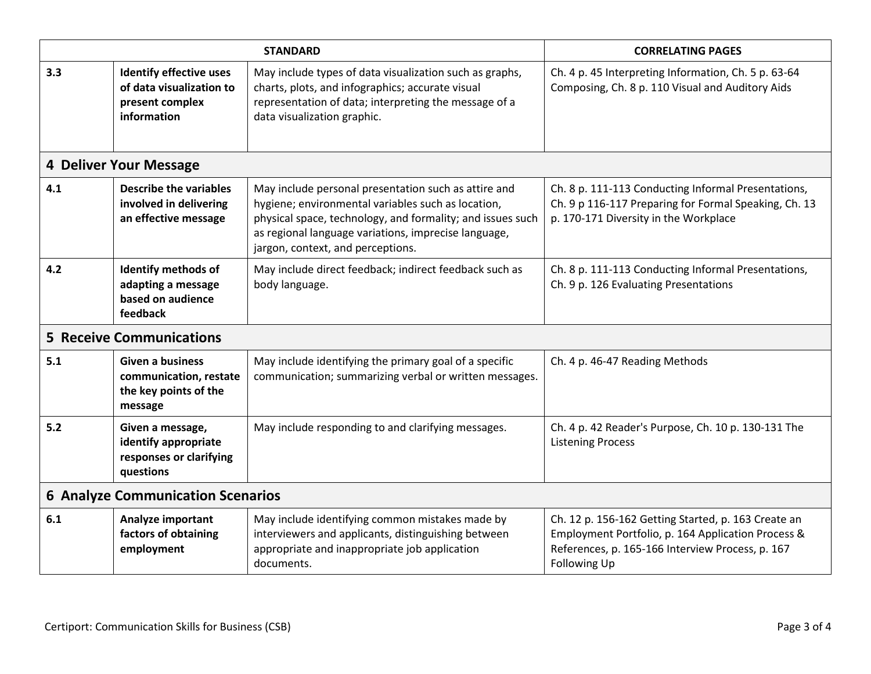| <b>STANDARD</b>                          |                                                                                              |                                                                                                                                                                                                                                                                       | <b>CORRELATING PAGES</b>                                                                                                                                                      |  |  |  |
|------------------------------------------|----------------------------------------------------------------------------------------------|-----------------------------------------------------------------------------------------------------------------------------------------------------------------------------------------------------------------------------------------------------------------------|-------------------------------------------------------------------------------------------------------------------------------------------------------------------------------|--|--|--|
| 3.3                                      | <b>Identify effective uses</b><br>of data visualization to<br>present complex<br>information | May include types of data visualization such as graphs,<br>charts, plots, and infographics; accurate visual<br>representation of data; interpreting the message of a<br>data visualization graphic.                                                                   | Ch. 4 p. 45 Interpreting Information, Ch. 5 p. 63-64<br>Composing, Ch. 8 p. 110 Visual and Auditory Aids                                                                      |  |  |  |
|                                          | <b>4 Deliver Your Message</b>                                                                |                                                                                                                                                                                                                                                                       |                                                                                                                                                                               |  |  |  |
| 4.1                                      | <b>Describe the variables</b><br>involved in delivering<br>an effective message              | May include personal presentation such as attire and<br>hygiene; environmental variables such as location,<br>physical space, technology, and formality; and issues such<br>as regional language variations, imprecise language,<br>jargon, context, and perceptions. | Ch. 8 p. 111-113 Conducting Informal Presentations,<br>Ch. 9 p 116-117 Preparing for Formal Speaking, Ch. 13<br>p. 170-171 Diversity in the Workplace                         |  |  |  |
| 4.2                                      | Identify methods of<br>adapting a message<br>based on audience<br><b>feedback</b>            | May include direct feedback; indirect feedback such as<br>body language.                                                                                                                                                                                              | Ch. 8 p. 111-113 Conducting Informal Presentations,<br>Ch. 9 p. 126 Evaluating Presentations                                                                                  |  |  |  |
| <b>5 Receive Communications</b>          |                                                                                              |                                                                                                                                                                                                                                                                       |                                                                                                                                                                               |  |  |  |
| 5.1                                      | <b>Given a business</b><br>communication, restate<br>the key points of the<br>message        | May include identifying the primary goal of a specific<br>communication; summarizing verbal or written messages.                                                                                                                                                      | Ch. 4 p. 46-47 Reading Methods                                                                                                                                                |  |  |  |
| 5.2                                      | Given a message,<br>identify appropriate<br>responses or clarifying<br>questions             | May include responding to and clarifying messages.                                                                                                                                                                                                                    | Ch. 4 p. 42 Reader's Purpose, Ch. 10 p. 130-131 The<br><b>Listening Process</b>                                                                                               |  |  |  |
| <b>6 Analyze Communication Scenarios</b> |                                                                                              |                                                                                                                                                                                                                                                                       |                                                                                                                                                                               |  |  |  |
| 6.1                                      | Analyze important<br>factors of obtaining<br>employment                                      | May include identifying common mistakes made by<br>interviewers and applicants, distinguishing between<br>appropriate and inappropriate job application<br>documents.                                                                                                 | Ch. 12 p. 156-162 Getting Started, p. 163 Create an<br>Employment Portfolio, p. 164 Application Process &<br>References, p. 165-166 Interview Process, p. 167<br>Following Up |  |  |  |